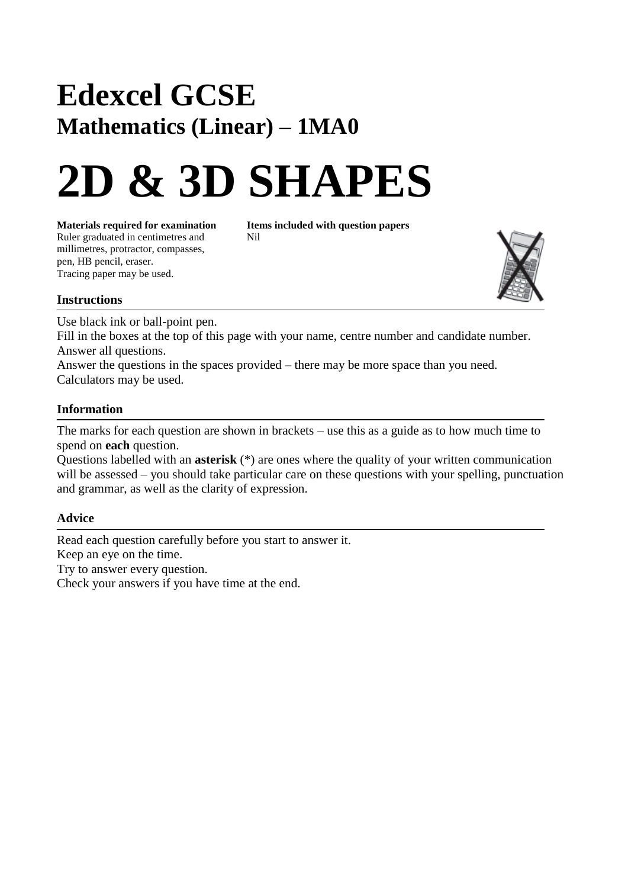# **Edexcel GCSE Mathematics (Linear) – 1MA0**

# **2D & 3D SHAPES**

**Materials required for examination Items included with question papers**<br>Ruler graduated in centimetres and **Nil** Ruler graduated in centimetres and millimetres, protractor, compasses, pen, HB pencil, eraser. Tracing paper may be used.



#### **Instructions**

Use black ink or ball-point pen.

Fill in the boxes at the top of this page with your name, centre number and candidate number. Answer all questions.

Answer the questions in the spaces provided – there may be more space than you need. Calculators may be used.

## **Information**

The marks for each question are shown in brackets – use this as a guide as to how much time to spend on **each** question.

Questions labelled with an **asterisk** (\*) are ones where the quality of your written communication will be assessed – you should take particular care on these questions with your spelling, punctuation and grammar, as well as the clarity of expression.

## **Advice**

Read each question carefully before you start to answer it. Keep an eye on the time. Try to answer every question. Check your answers if you have time at the end.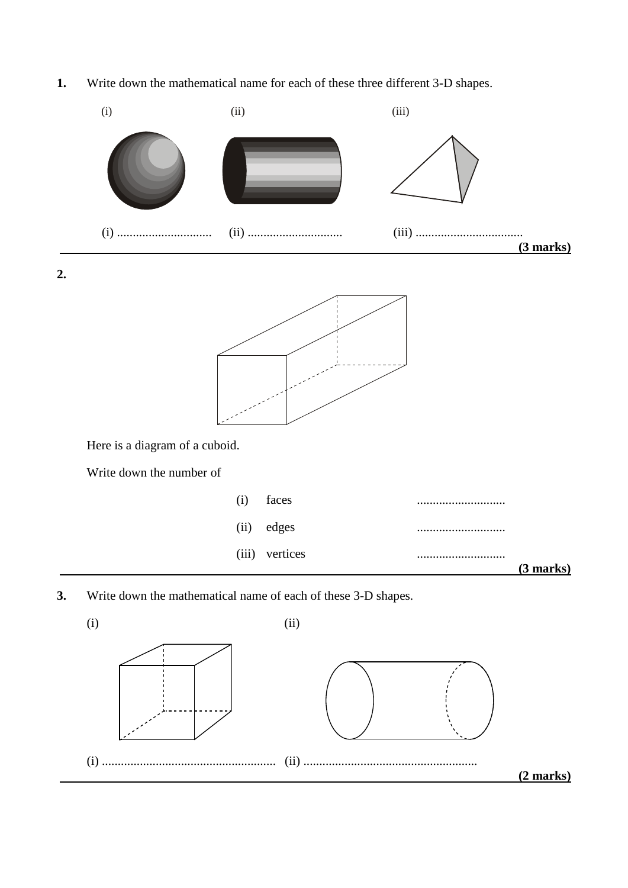**1.** Write down the mathematical name for each of these three different 3-D shapes.



**3.** Write down the mathematical name of each of these 3-D shapes.

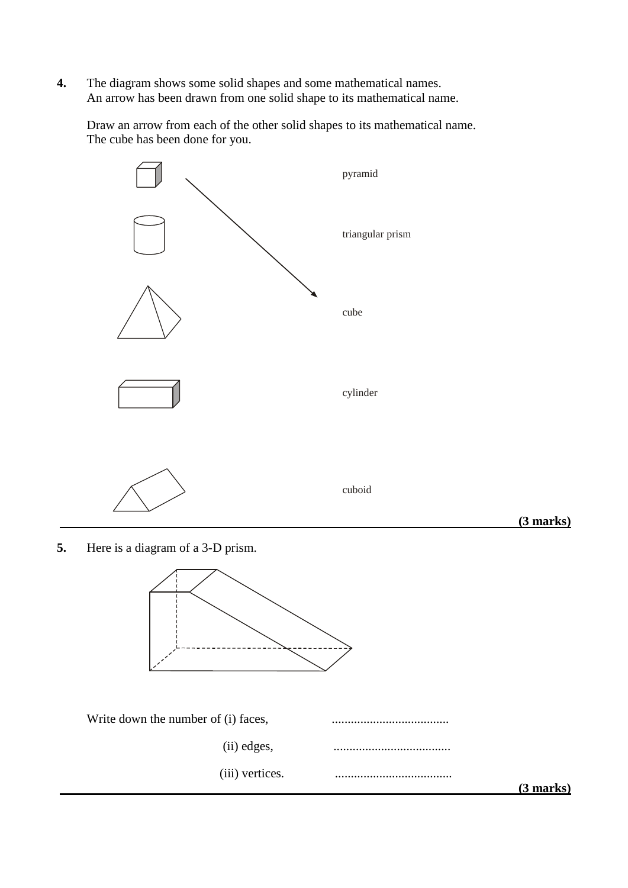**4.** The diagram shows some solid shapes and some mathematical names. An arrow has been drawn from one solid shape to its mathematical name.

Draw an arrow from each of the other solid shapes to its mathematical name. The cube has been done for you.



**5.** Here is a diagram of a 3-D prism.



| Write down the number of (i) faces, |             |
|-------------------------------------|-------------|
| (ii) edges,                         |             |
| (iii) vertices.                     |             |
|                                     | $(3$ marks) |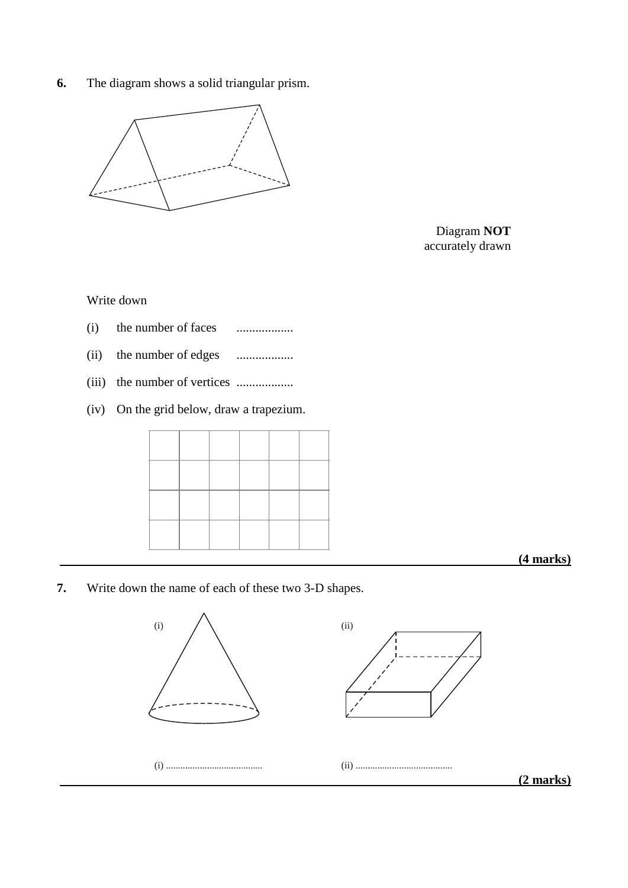**6.** The diagram shows a solid triangular prism.



Diagram **NOT** accurately drawn

Write down

- (i) the number of faces ..................
- (ii) the number of edges ..................
- (iii) the number of vertices ..................
- (iv) On the grid below, draw a trapezium.

 **(4 marks)**

**7.** Write down the name of each of these two 3-D shapes.

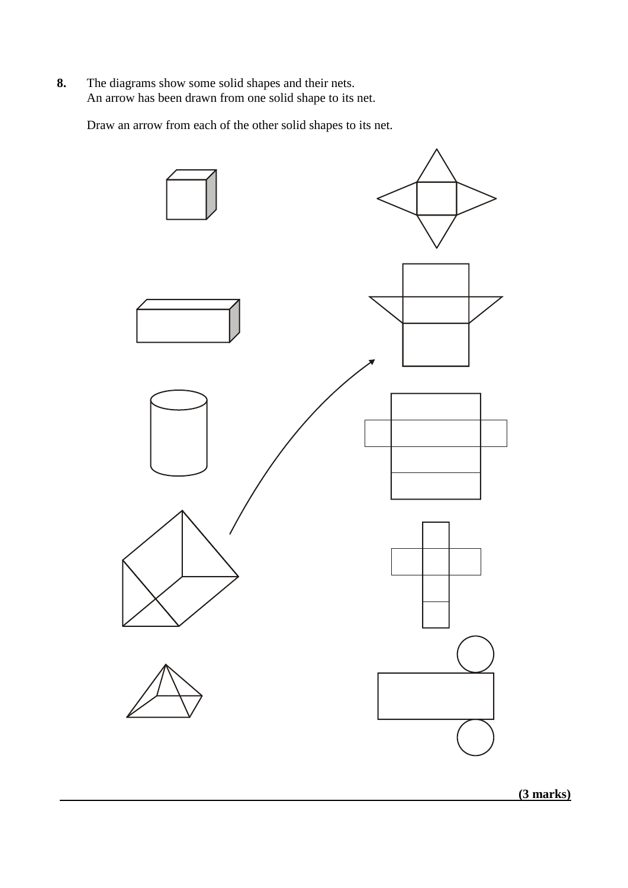**8.** The diagrams show some solid shapes and their nets. An arrow has been drawn from one solid shape to its net.

Draw an arrow from each of the other solid shapes to its net.



 **(3 marks)**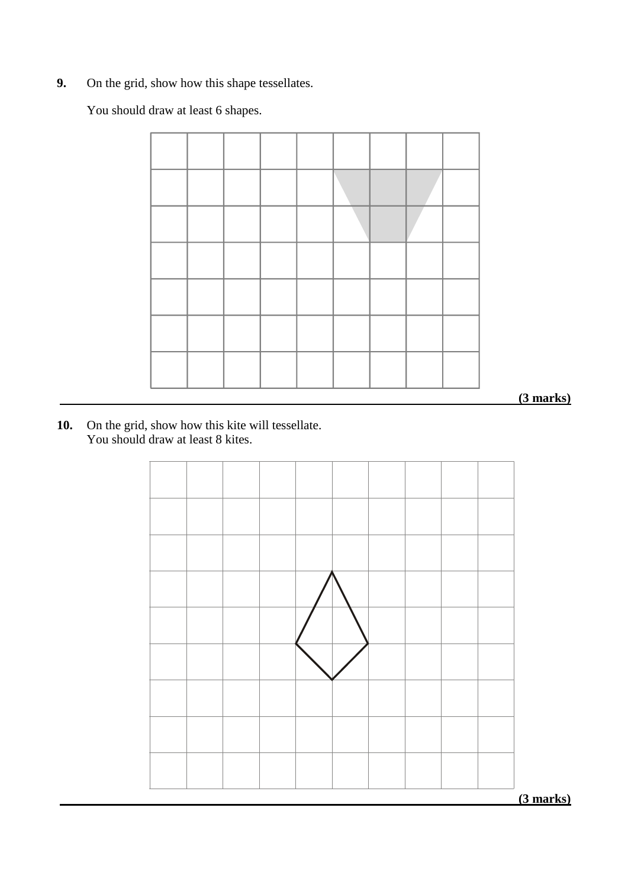**9.** On the grid, show how this shape tessellates.

You should draw at least 6 shapes.



 **(3 marks)**

**10.** On the grid, show how this kite will tessellate. You should draw at least 8 kites.



 **(3 marks)**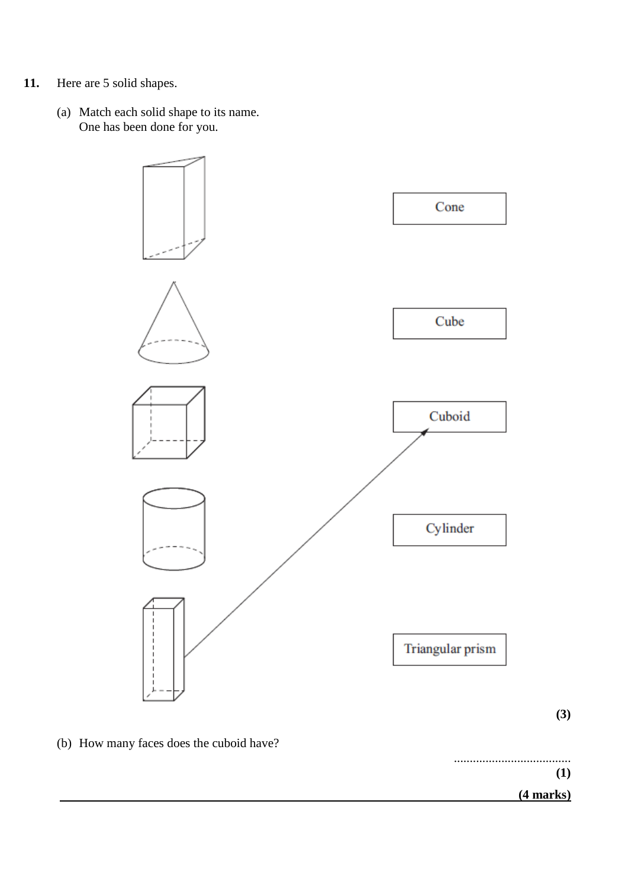- **11.** Here are 5 solid shapes.
	- (a) Match each solid shape to its name. One has been done for you.



(b) How many faces does the cuboid have?

..................................... **(1) (4 marks)**

**(3)**